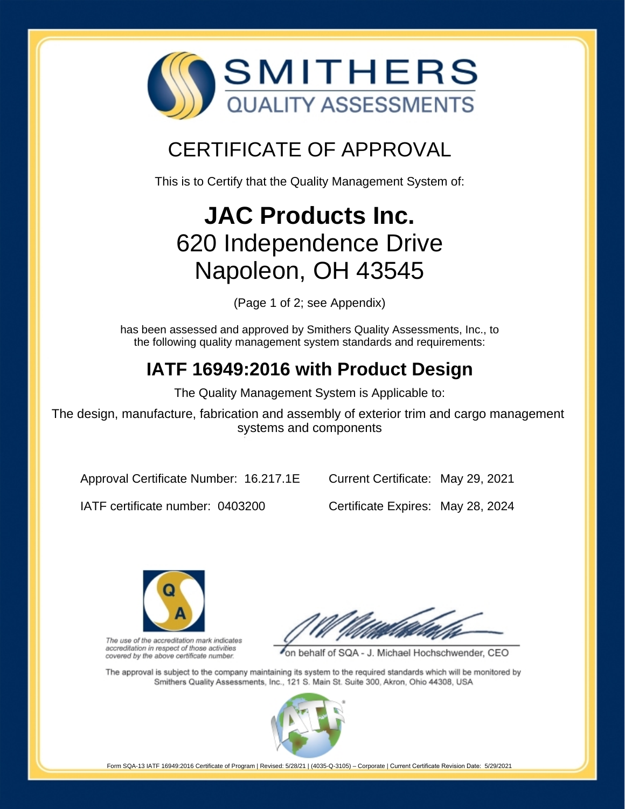

## CERTIFICATE OF APPROVAL

This is to Certify that the Quality Management System of:

# **JAC Products Inc.** 620 Independence Drive Napoleon, OH 43545

(Page 1 of 2; see Appendix)

has been assessed and approved by Smithers Quality Assessments, Inc., to the following quality management system standards and requirements:

## **IATF 16949:2016 with Product Design**

The Quality Management System is Applicable to:

The design, manufacture, fabrication and assembly of exterior trim and cargo management systems and components

Approval Certificate Number: 16.217.1E

Current Certificate: May 29, 2021

IATF certificate number: 0403200

Certificate Expires: May 28, 2024



The use of the accreditation mark indicates accreditation in respect of those activities covered by the above certificate number.

on behalf of SQA - J. Michael Hochschwender, CEO

The approval is subject to the company maintaining its system to the required standards which will be monitored by Smithers Quality Assessments, Inc., 121 S. Main St. Suite 300, Akron, Ohio 44308, USA